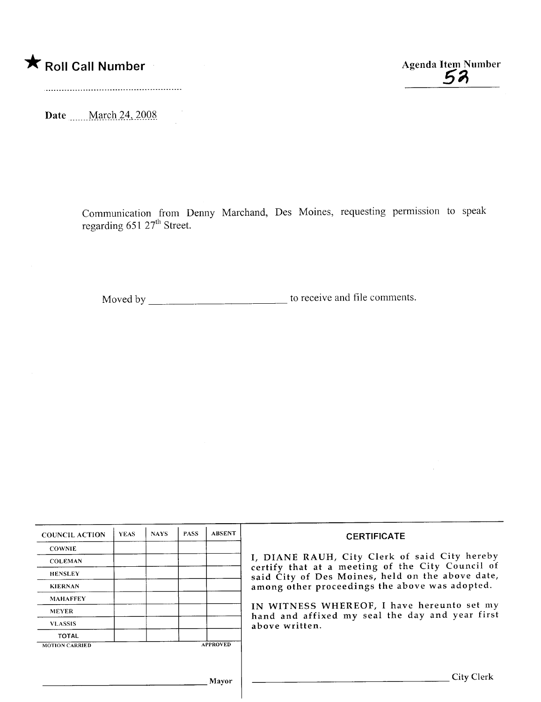\* Roll Call Number Agenda Item Number Agenda Item Number

Date \_\_\_\_\_ March 24, 2008

Communication from Denny Marchand, Des Moines, requesting permission to speak regarding 651 27th Street.

Moved by to receive and file comments.

| <b>COUNCIL ACTION</b> | <b>YEAS</b> | <b>NAYS</b> | <b>PASS</b> | <b>ABSENT</b>   | <b>CERTIFICATE</b>                                                                                                                                                                                                                                                                                                         |
|-----------------------|-------------|-------------|-------------|-----------------|----------------------------------------------------------------------------------------------------------------------------------------------------------------------------------------------------------------------------------------------------------------------------------------------------------------------------|
| <b>COWNIE</b>         |             |             |             |                 |                                                                                                                                                                                                                                                                                                                            |
| <b>COLEMAN</b>        |             |             |             |                 | I, DIANE RAUH, City Clerk of said City hereby<br>certify that at a meeting of the City Council of<br>said City of Des Moines, held on the above date,<br>among other proceedings the above was adopted.<br>IN WITNESS WHEREOF, I have hereunto set my<br>hand and affixed my seal the day and year first<br>above written. |
| <b>HENSLEY</b>        |             |             |             |                 |                                                                                                                                                                                                                                                                                                                            |
| <b>KIERNAN</b>        |             |             |             |                 |                                                                                                                                                                                                                                                                                                                            |
| <b>MAHAFFEY</b>       |             |             |             |                 |                                                                                                                                                                                                                                                                                                                            |
| <b>MEYER</b>          |             |             |             |                 |                                                                                                                                                                                                                                                                                                                            |
| <b>VLASSIS</b>        |             |             |             |                 |                                                                                                                                                                                                                                                                                                                            |
| <b>TOTAL</b>          |             |             |             |                 |                                                                                                                                                                                                                                                                                                                            |
| <b>MOTION CARRIED</b> |             |             |             | <b>APPROVED</b> |                                                                                                                                                                                                                                                                                                                            |
|                       |             |             |             |                 |                                                                                                                                                                                                                                                                                                                            |
|                       |             |             |             |                 |                                                                                                                                                                                                                                                                                                                            |
|                       |             |             |             | Mayor           | City Clerk                                                                                                                                                                                                                                                                                                                 |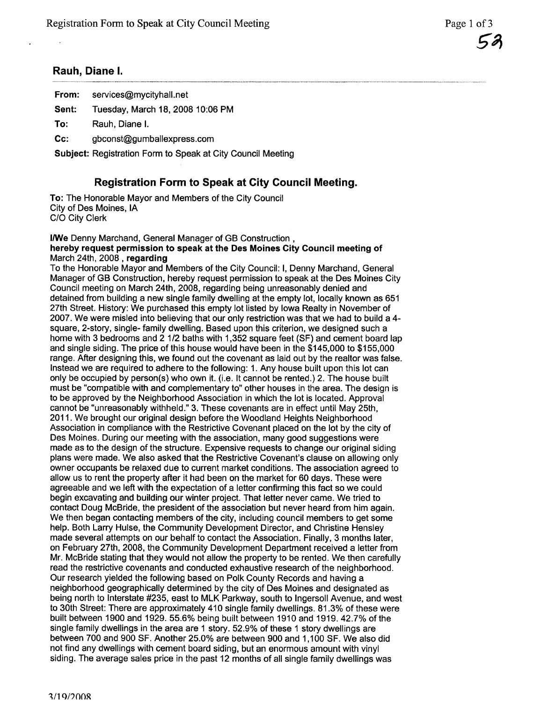## Rauh, Diane I.

| From:  | services@mycityhall.net                                            |  |  |  |  |
|--------|--------------------------------------------------------------------|--|--|--|--|
| Sent:  | Tuesday, March 18, 2008 10:06 PM                                   |  |  |  |  |
| To:    | Rauh. Diane I.                                                     |  |  |  |  |
| $Cc$ : | gbconst@gumballexpress.com                                         |  |  |  |  |
|        | <b>Subject: Registration Form to Speak at City Council Meeting</b> |  |  |  |  |

# Registration Form to Speak at City Council Meeting.

To: The Honorable Mayor and Members of the City Council City of Des Moines, IA C/O City Clerk

### I/We Denny Marchand, General Manager of GB Construction, hereby request permission to speak at the Des Moines City Council meeting of March 24th, 2008 , regarding

To the Honorable Mayor and Members of the City Council: i, Denny Marchand, General Manager of GB Construction, hereby request permission to speak at the Des Moines City Council meeting on March 24th, 2008, regarding being unreasonably denied and detained from building a new single family dwelling at the empty lot, locally known as 651 27th Street. History: We purchased this empty lot listed by Iowa Realty in November of 2007. We were misled into believing that our only restriction was that we had to build a 4 square, 2-story, single- family dwelling. Based upon this criterion, we designed such a home with 3 bedrooms and 2 1/2 baths with 1,352 square feet (SF) and cement board lap and single siding. The price of this house would have been in the \$145,000 to \$155,000 range. After designing this, we found out the covenant as laid out by the realtor was false. Instead we are required to adhere to the following: 1. Any house built upon this lot can only be occupied by person(s) who own it. (i.e. It cannot be rented.) 2. The house built must be "compatible with and complementary to" other houses in the area. The design is to be approved by the Neighborhood Association in which the lot is located. Approval cannot be "unreasonably withheld." 3. These covenants are in effect until May 25th, 2011. We brought our original design before the Woodland Heights Neighborhood Association in compliance with the Restrictive Covenant placed on the lot by the city of Des Moines. During our meeting with the association, many good suggestions were made as to the design of the structure. Expensive requests to change our original siding plans were made. We also asked that the Restrictive Covenant's clause on allowing only owner occupants be relaxed due to current market conditions. The association agreed to allow us to rent the property after it had been on the market for 60 days. These were agreeable and we left with the expectation of a letter confirming this fact so we could begin excavating and building our winter project. That letter never came. We tried to contact Doug McBride, the president of the association but never heard from him again. We then began contacting members of the city, including council members to get some help. Both Larry Hulse, the Community Development Director, and Christine Hensley made several attempts on our behalf to contact the Association. Finally, 3 months later, on February 27th, 2008, the Community Development Department received a letter from Mr. McBride stating that they would not allow the property to be rented. We then carefully read the restrictive covenants and conducted exhaustive research of the neighborhood. Our research yielded the following based on Polk County Records and having a neighborhood geographically determined by the city of Des Moines and designated as being north to Interstate #235, east to MLK Parkway, south to Ingersoll Avenue, and west to 30th Street: There are approximately 410 single family dwellings. 81.3% of these were built between 1900 and 1929.55.6% being built between 1910 and 1919.42.7% of the single family dwellings in the area are 1 story. 52.9% of these 1 story dwellings are between 700 and 900 SF. Another 25.0% are between 900 and 1,100 SF. We also did not find any dwellings with cement board siding, but an enormous amount with vinyl siding. The average sales price in the past 12 months of all single family dwellings was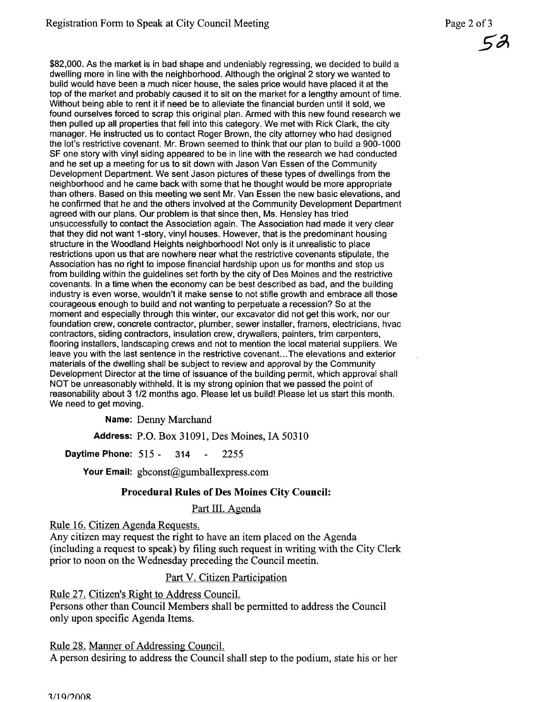\$82,000. As the market is in bad shape and undeniably regressing, we decided to build a dwelling more in line with the neighborhood. Although the original 2 story we wanted to build would have been a much nicer house, the sales price would have placed it at the top of the market and probably caused it to sit on the market for a lengthy amount of time. Without being able to rent it if need be to alleviate the financial burden until it sold, we found ourselves forced to scrap this original plan. Armed with this new found research we then pulled up all properties that fell into this category. We met with Rick Clark, the city manager. He instructed us to contact Roger Brown, the city attorney who had designed the lot's restrictive covenant. Mr. Brown seemed to think that our plan to build a 900-1000 SF one story with vinyl siding appeared to be in line with the research we had conducted and he set up a meeting for us to sit down with Jason Van Essen of the Community Development Department. We sent Jason pictures of these types of dwellings from the neighborhood and he came back with some that he thought would be more appropriate than others. Based on this meeting we sent Mr. Van Essen the new basic elevations, and he confirmed that he and the others involved at the Community Development Department agreed with our plans. Our problem is that since then, Ms. Hensley has tried unsuccessfully to contact the Association again. The Association had made it very clear that they did not want 1-story, vinyl houses. However, that is the predominant housing structure in the Woodland Heights neighborhood! Not only is it unrealistic to place restrictions upon us that are nowhere near what the restrictive covenants stipulate, the Association has no right to impose financial hardship upon us for months and stop us from building within the guidelines set forth by the city of Des Moines and the restrictive covenants. In a time when the economy can be best described as bad, and the building industry is even worse, wouldn't it make sense to not stifle growth and embrace all those courageous enough to build and not wanting to perpetuate a recession? So at the moment and especially through this winter, our excavator did not get this work, nor our foundation crew, concrete contractor, plumber, sewer installer, framers, electricians, hvac contractors, siding contractors, insulation crew, drywallers, painters, trim carpenters, flooring installers, landscaping crews and not to mention the local material suppliers. We leave you with the last sentence in the restrictive covenant... The elevations and exterior materials of the dwelling shall be subject to review and approval by the Community Development Director at the time of issuance of the building permit, which approval shall NOT be unreasonably withheld. It is my strong opinion that we passed the point of reasonability about 3 1/2 months ago. Please let us build! Please let us start this month. We need to get moving.

Name: Denny Marchand

Address: P.O. Box 31091, Des Moines, IA 50310

**Daytime Phone: 515 - 314 - 2255** 

Your Email: gbconst@gumballexpress.com

## Procedural Rules of Des Moines City Council:

Part III. Agenda

Rule 16. Citizen Agenda Requests.

Any citizen may request the right to have an item placed on the Agenda (including a request to speak) by fiing such request in wrting with the City Clerk prior to noon on the Wednesday preceding the Council meetin.

## Part V. Citizen Participation

Rule 27. Citizen's Right to Address CounciL.

Persons other than Council Members shall be permitted to address the Council only upon specific Agenda Items.

Rule 28. Manner of Addressing CounciL.

A person desiring to address the Council shall step to the podium, state his or her